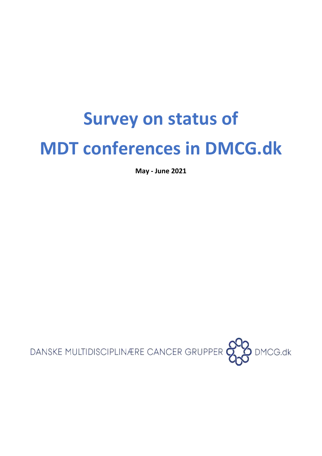# **Survey on status of MDT conferences in DMCG.dk**

**May - June 2021**

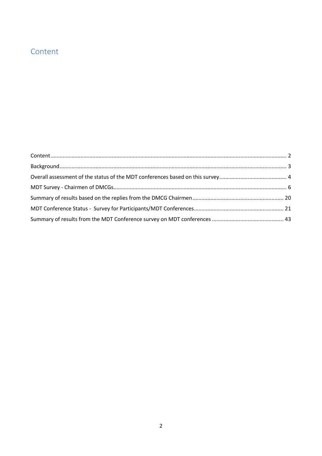### <span id="page-1-0"></span>Content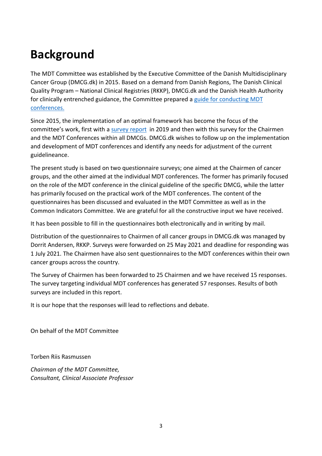### <span id="page-2-0"></span>**Background**

The MDT Committee was established by the Executive Committee of the Danish Multidisciplinary Cancer Group (DMCG.dk) in 2015. Based on a demand from Danish Regions, The Danish Clinical Quality Program – National Clinical Registries (RKKP), DMCG.dk and the Danish Health Authority for clinically entrenched guidance, the Committee prepared a [guide for conducting](https://www.dmcg.dk/siteassets/dmcg-udvalg/multidisciplinaer_kraeftbehandling_-_en_vejledning_til_mdt-rev-15-02-2016.pdf) MDT [conferences.](https://www.dmcg.dk/siteassets/dmcg-udvalg/multidisciplinaer_kraeftbehandling_-_en_vejledning_til_mdt-rev-15-02-2016.pdf)

Since 2015, the implementation of an optimal framework has become the focus of the committee's work, first with a [survey report](https://www.dmcg.dk/siteassets/om-dmcg.dk/nyheder/mdt-rapport-17.06.2019_final_inkl_bilag.pdf) in 2019 and then with this survey for the Chairmen and the MDT Conferences within all DMCGs. DMCG.dk wishes to follow up on the implementation and development of MDT conferences and identify any needs for adjustment of the current guidelineance.

The present study is based on two questionnaire surveys; one aimed at the Chairmen of cancer groups, and the other aimed at the individual MDT conferences. The former has primarily focused on the role of the MDT conference in the clinical guideline of the specific DMCG, while the latter has primarily focused on the practical work of the MDT conferences. The content of the questionnaires has been discussed and evaluated in the MDT Committee as well as in the Common Indicators Committee. We are grateful for all the constructive input we have received.

It has been possible to fill in the questionnaires both electronically and in writing by mail.

Distribution of the questionnaires to Chairmen of all cancer groups in DMCG.dk was managed by Dorrit Andersen, RKKP. Surveys were forwarded on 25 May 2021 and deadline for responding was 1 July 2021. The Chairmen have also sent questionnaires to the MDT conferences within their own cancer groups across the country.

The Survey of Chairmen has been forwarded to 25 Chairmen and we have received 15 responses. The survey targeting individual MDT conferences has generated 57 responses. Results of both surveys are included in this report.

It is our hope that the responses will lead to reflections and debate.

On behalf of the MDT Committee

Torben Riis Rasmussen

*Chairman of the MDT Committee, Consultant, Clinical Associate Professor*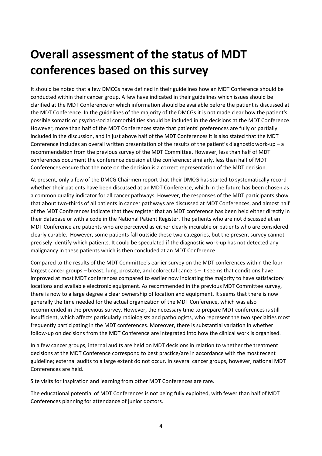### <span id="page-3-0"></span>**Overall assessment of the status of MDT conferences based on this survey**

It should be noted that a few DMCGs have defined in their guidelines how an MDT Conference should be conducted within their cancer group. A few have indicated in their guidelines which issues should be clarified at the MDT Conference or which information should be available before the patient is discussed at the MDT Conference. In the guidelines of the majority of the DMCGs it is not made clear how the patient's possible somatic or psycho-social comorbidities should be included in the decisions at the MDT Conference. However, more than half of the MDT Conferences state that patients' preferences are fully or partially included in the discussion, and in just above half of the MDT Conferences it is also stated that the MDT Conference includes an overall written presentation of the results of the patient's diagnostic work-up – a recommendation from the previous survey of the MDT Committee. However, less than half of MDT conferences document the conference decision at the conference; similarly, less than half of MDT Conferences ensure that the note on the decision is a correct representation of the MDT decision.

At present, only a few of the DMCG Chairmen report that their DMCG has started to systematically record whether their patients have been discussed at an MDT Conference, which in the future has been chosen as a common quality indicator for all cancer pathways. However, the responses of the MDT participants show that about two-thirds of all patients in cancer pathways are discussed at MDT Conferences, and almost half of the MDT Conferences indicate that they register that an MDT conference has been held either directly in their database or with a code in the National Patient Register. The patients who are not discussed at an MDT Conference are patients who are perceived as either clearly incurable or patients who are considered clearly curable. However, some patients fall outside these two categories, but the present survey cannot precisely identify which patients. It could be speculated if the diagnostic work-up has not detected any malignancy in these patients which is then concluded at an MDT Conference.

Compared to the results of the MDT Committee's earlier survey on the MDT conferences within the four largest cancer groups – breast, lung, prostate, and colorectal cancers – it seems that conditions have improved at most MDT conferences compared to earlier now indicating the majority to have satisfactory locations and available electronic equipment. As recommended in the previous MDT Committee survey, there is now to a large degree a clear ownership of location and equipment. It seems that there is now generally the time needed for the actual organization of the MDT Conference, which was also recommended in the previous survey. However, the necessary time to prepare MDT conferences is still insufficient, which affects particularly radiologists and pathologists, who represent the two specialties most frequently participating in the MDT conferences. Moreover, there is substantial variation in whether follow-up on decisions from the MDT Conference are integrated into how the clinical work is organised.

In a few cancer groups, internal audits are held on MDT decisions in relation to whether the treatment decisions at the MDT Conference correspond to best practice/are in accordance with the most recent guideline; external audits to a large extent do not occur. In several cancer groups, however, national MDT Conferences are held.

Site visits for inspiration and learning from other MDT Conferences are rare.

The educational potential of MDT Conferences is not being fully exploited, with fewer than half of MDT Conferences planning for attendance of junior doctors.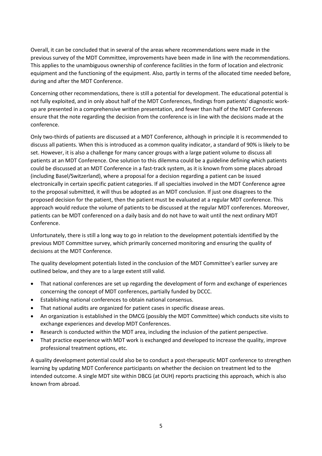Overall, it can be concluded that in several of the areas where recommendations were made in the previous survey of the MDT Committee, improvements have been made in line with the recommendations. This applies to the unambiguous ownership of conference facilities in the form of location and electronic equipment and the functioning of the equipment. Also, partly in terms of the allocated time needed before, during and after the MDT Conference.

Concerning other recommendations, there is still a potential for development. The educational potential is not fully exploited, and in only about half of the MDT Conferences, findings from patients' diagnostic workup are presented in a comprehensive written presentation, and fewer than half of the MDT Conferences ensure that the note regarding the decision from the conference is in line with the decisions made at the conference.

Only two-thirds of patients are discussed at a MDT Conference, although in principle it is recommended to discuss all patients. When this is introduced as a common quality indicator, a standard of 90% is likely to be set. However, it is also a challenge for many cancer groups with a large patient volume to discuss all patients at an MDT Conference. One solution to this dilemma could be a guideline defining which patients could be discussed at an MDT Conference in a fast-track system, as it is known from some places abroad (including Basel/Switzerland), where a proposal for a decision regarding a patient can be issued electronically in certain specific patient categories. If all specialties involved in the MDT Conference agree to the proposal submitted, it will thus be adopted as an MDT conclusion. If just one disagrees to the proposed decision for the patient, then the patient must be evaluated at a regular MDT conference. This approach would reduce the volume of patients to be discussed at the regular MDT conferences. Moreover, patients can be MDT conferenced on a daily basis and do not have to wait until the next ordinary MDT Conference.

Unfortunately, there is still a long way to go in relation to the development potentials identified by the previous MDT Committee survey, which primarily concerned monitoring and ensuring the quality of decisions at the MDT Conference.

The quality development potentials listed in the conclusion of the MDT Committee's earlier survey are outlined below, and they are to a large extent still valid.

- That national conferences are set up regarding the development of form and exchange of experiences concerning the concept of MDT conferences, partially funded by DCCC.
- Establishing national conferences to obtain national consensus.
- That national audits are organized for patient cases in specific disease areas.
- An organization is established in the DMCG (possibly the MDT Committee) which conducts site visits to exchange experiences and develop MDT Conferences.
- Research is conducted within the MDT area, including the inclusion of the patient perspective.
- That practice experience with MDT work is exchanged and developed to increase the quality, improve professional treatment options, etc.

A quality development potential could also be to conduct a post-therapeutic MDT conference to strengthen learning by updating MDT Conference participants on whether the decision on treatment led to the intended outcome. A single MDT site within DBCG (at OUH) reports practicing this approach, which is also known from abroad.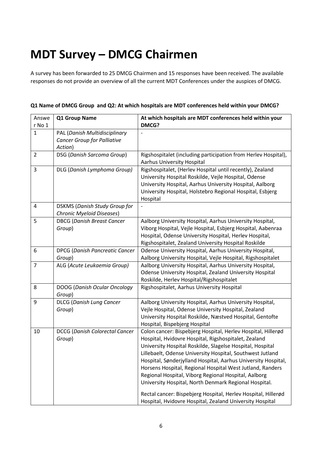### <span id="page-5-0"></span>**MDT Survey – DMCG Chairmen**

A survey has been forwarded to 25 DMCG Chairmen and 15 responses have been received. The available responses do not provide an overview of all the current MDT Conferences under the auspices of DMCG.

| Answe<br>r No 1 | Q1 Group Name                                                       | At which hospitals are MDT conferences held within your<br>DMCG?                                                                                                                                                                                                                                                                                                                                                                                                                                                                                                                                                           |
|-----------------|---------------------------------------------------------------------|----------------------------------------------------------------------------------------------------------------------------------------------------------------------------------------------------------------------------------------------------------------------------------------------------------------------------------------------------------------------------------------------------------------------------------------------------------------------------------------------------------------------------------------------------------------------------------------------------------------------------|
| $\mathbf 1$     | PAL (Danish Multidisciplinary<br><b>Cancer Group for Palliative</b> |                                                                                                                                                                                                                                                                                                                                                                                                                                                                                                                                                                                                                            |
|                 | Action)                                                             |                                                                                                                                                                                                                                                                                                                                                                                                                                                                                                                                                                                                                            |
| $\overline{2}$  | DSG (Danish Sarcoma Group)                                          | Rigshospitalet (including participation from Herlev Hospital),<br><b>Aarhus University Hospital</b>                                                                                                                                                                                                                                                                                                                                                                                                                                                                                                                        |
| 3               | DLG (Danish Lymphoma Group)                                         | Rigshospitalet, (Herlev Hospital until recently), Zealand<br>University Hospital Roskilde, Vejle Hospital, Odense<br>University Hospital, Aarhus University Hospital, Aalborg<br>University Hospital, Holstebro Regional Hospital, Esbjerg<br>Hospital                                                                                                                                                                                                                                                                                                                                                                     |
| 4               | <b>DSKMS (Danish Study Group for</b><br>Chronic Myeloid Diseases)   |                                                                                                                                                                                                                                                                                                                                                                                                                                                                                                                                                                                                                            |
| 5               | <b>DBCG (Danish Breast Cancer</b><br>Group)                         | Aalborg University Hospital, Aarhus University Hospital,<br>Viborg Hospital, Vejle Hospital, Esbjerg Hospital, Aabenraa<br>Hospital, Odense University Hospital, Herlev Hospital,<br>Rigshospitalet, Zealand University Hospital Roskilde                                                                                                                                                                                                                                                                                                                                                                                  |
| 6               | <b>DPCG (Danish Pancreatic Cancer</b><br>Group)                     | Odense University Hospital, Aarhus University Hospital,<br>Aalborg University Hospital, Vejle Hospital, Rigshospitalet                                                                                                                                                                                                                                                                                                                                                                                                                                                                                                     |
| $\overline{7}$  | ALG (Acute Leukaemia Group)                                         | Aalborg University Hospital, Aarhus University Hospital,<br>Odense University Hospital, Zealand University Hospital<br>Roskilde, Herlev Hospital/Rigshospitalet                                                                                                                                                                                                                                                                                                                                                                                                                                                            |
| 8               | DOOG (Danish Ocular Oncology<br>Group)                              | Rigshospitalet, Aarhus University Hospital                                                                                                                                                                                                                                                                                                                                                                                                                                                                                                                                                                                 |
| 9               | <b>DLCG</b> (Danish Lung Cancer<br>Group)                           | Aalborg University Hospital, Aarhus University Hospital,<br>Vejle Hospital, Odense University Hospital, Zealand<br>University Hospital Roskilde, Næstved Hospital, Gentofte<br>Hospital, Bispebjerg Hospital                                                                                                                                                                                                                                                                                                                                                                                                               |
| 10              | <b>DCCG (Danish Colorectal Cancer</b><br>Group)                     | Colon cancer: Bispebjerg Hospital, Herlev Hospital, Hillerød<br>Hospital, Hvidovre Hospital, Rigshospitalet, Zealand<br>University Hospital Roskilde, Slagelse Hospital, Hospital<br>Lillebaelt, Odense University Hospital, Southwest Jutland<br>Hospital, Sønderjylland Hospital, Aarhus University Hospital,<br>Horsens Hospital, Regional Hospital West Jutland, Randers<br>Regional Hospital, Viborg Regional Hospital, Aalborg<br>University Hospital, North Denmark Regional Hospital.<br>Rectal cancer: Bispebjerg Hospital, Herlev Hospital, Hillerød<br>Hospital, Hvidovre Hospital, Zealand University Hospital |

#### **Q1 Name of DMCG Group and Q2: At which hospitals are MDT conferences held within your DMCG?**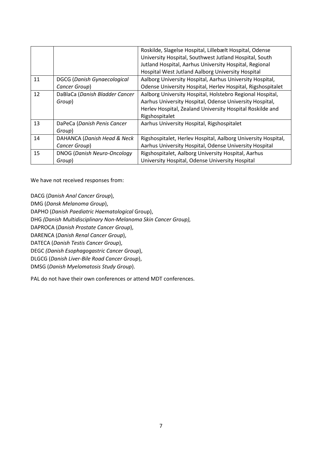|    |                                    | Roskilde, Slagelse Hospital, Lillebælt Hospital, Odense       |
|----|------------------------------------|---------------------------------------------------------------|
|    |                                    | University Hospital, Southwest Jutland Hospital, South        |
|    |                                    | Jutland Hospital, Aarhus University Hospital, Regional        |
|    |                                    | Hospital West Jutland Aalborg University Hospital             |
| 11 | <b>DGCG (Danish Gynaecological</b> | Aalborg University Hospital, Aarhus University Hospital,      |
|    | Cancer Group)                      | Odense University Hospital, Herlev Hospital, Rigshospitalet   |
| 12 | DaBlaCa (Danish Bladder Cancer     | Aalborg University Hospital, Holstebro Regional Hospital,     |
|    | Group)                             | Aarhus University Hospital, Odense University Hospital,       |
|    |                                    | Herlev Hospital, Zealand University Hospital Roskilde and     |
|    |                                    | Rigshospitalet                                                |
| 13 | DaPeCa (Danish Penis Cancer        | Aarhus University Hospital, Rigshospitalet                    |
|    | Group)                             |                                                               |
| 14 | DAHANCA (Danish Head & Neck        | Rigshospitalet, Herlev Hospital, Aalborg University Hospital, |
|    | Cancer Group)                      | Aarhus University Hospital, Odense University Hospital        |
| 15 | <b>DNOG (Danish Neuro-Oncology</b> | Rigshospitalet, Aalborg University Hospital, Aarhus           |
|    | Group)                             | University Hospital, Odense University Hospital               |

We have not received responses from:

DACG (*Danish Anal Cancer Group*),

DMG (*Dansk Melanoma Group*),

DAPHO (*Danish Paediatric Haematological* Group),

DHG *(Danish Multidisciplinary Non-Melanoma Skin Cancer Group),*

DAPROCA (*Danish Prostate Cancer Group*),

DARENCA (*Danish Renal Cancer Group*),

DATECA (*Danish Testis Cancer Group*),

DEGC *(Danish Esophagogastric Cancer Group*),

DLGCG (*Danish Liver-Bile Road Cancer Group*),

DMSG (*Danish Myelomatosis Study Group*).

PAL do not have their own conferences or attend MDT conferences.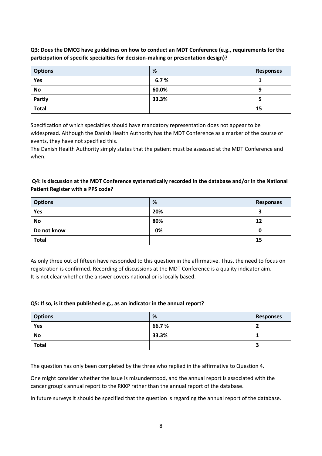**Q3: Does the DMCG have guidelines on how to conduct an MDT Conference (e.g., requirements for the participation of specific specialties for decision-making or presentation design)?**

| <b>Options</b> | %     | <b>Responses</b> |
|----------------|-------|------------------|
| Yes            | 6.7%  |                  |
| <b>No</b>      | 60.0% | 9                |
| Partly         | 33.3% | 5                |
| <b>Total</b>   |       | 15               |

Specification of which specialties should have mandatory representation does not appear to be widespread. Although the Danish Health Authority has the MDT Conference as a marker of the course of events, they have not specified this.

The Danish Health Authority simply states that the patient must be assessed at the MDT Conference and when.

#### **Q4: Is discussion at the MDT Conference systematically recorded in the database and/or in the National Patient Register with a PPS code?**

| <b>Options</b> | %   | Responses |
|----------------|-----|-----------|
| Yes            | 20% | э<br>P    |
| <b>No</b>      | 80% | 12        |
| Do not know    | 0%  | 0         |
| <b>Total</b>   |     | 15        |

As only three out of fifteen have responded to this question in the affirmative. Thus, the need to focus on registration is confirmed. Recording of discussions at the MDT Conference is a quality indicator aim. It is not clear whether the answer covers national or is locally based.

#### **Q5: If so, is it then published e.g., as an indicator in the annual report?**

| <b>Options</b> | %     | <b>Responses</b> |
|----------------|-------|------------------|
| Yes            | 66.7% |                  |
| <b>No</b>      | 33.3% |                  |
| <b>Total</b>   |       |                  |

The question has only been completed by the three who replied in the affirmative to Question 4.

One might consider whether the issue is misunderstood, and the annual report is associated with the cancer group's annual report to the RKKP rather than the annual report of the database.

In future surveys it should be specified that the question is regarding the annual report of the database.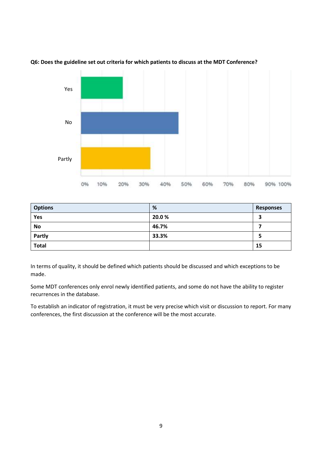

#### **Q6: Does the guideline set out criteria for which patients to discuss at the MDT Conference?**

| <b>Options</b> | %     | <b>Responses</b> |
|----------------|-------|------------------|
| Yes            | 20.0% | 3                |
| <b>No</b>      | 46.7% |                  |
| <b>Partly</b>  | 33.3% | כ                |
| <b>Total</b>   |       | 15               |

In terms of quality, it should be defined which patients should be discussed and which exceptions to be made.

Some MDT conferences only enrol newly identified patients, and some do not have the ability to register recurrences in the database.

To establish an indicator of registration, it must be very precise which visit or discussion to report. For many conferences, the first discussion at the conference will be the most accurate.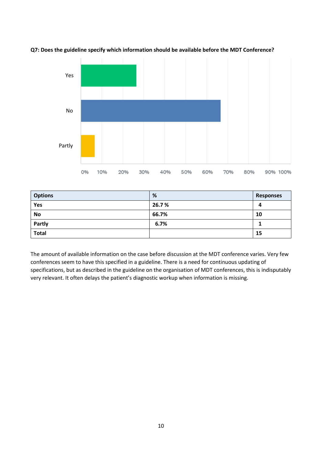



| <b>Options</b> | %     | Responses |
|----------------|-------|-----------|
| Yes            | 26.7% | 4         |
| <b>No</b>      | 66.7% | 10        |
| Partly         | 6.7%  |           |
| <b>Total</b>   |       | 15        |

The amount of available information on the case before discussion at the MDT conference varies. Very few conferences seem to have this specified in a guideline. There is a need for continuous updating of specifications, but as described in the guideline on the organisation [of MDT conferences,](https://www.dmcg.dk/siteassets/dmcg-udvalg/multidisciplinaer_kraeftbehandling_-_en_vejledning_til_mdt-rev-15-02-2016.pdf) this is indisputably very relevant. It often delays the patient's diagnostic workup when information is missing.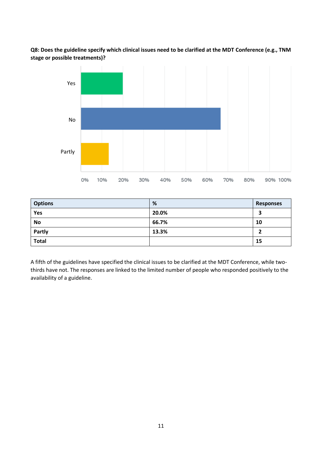**Q8: Does the guideline specify which clinical issues need to be clarified at the MDT Conference (e.g., TNM stage or possible treatments)?**



| <b>Options</b> | %     | <b>Responses</b> |
|----------------|-------|------------------|
| Yes            | 20.0% | 3                |
| <b>No</b>      | 66.7% | 10               |
| Partly         | 13.3% |                  |
| <b>Total</b>   |       | 15               |

A fifth of the guidelines have specified the clinical issues to be clarified at the MDT Conference, while twothirds have not. The responses are linked to the limited number of people who responded positively to the availability of a guideline.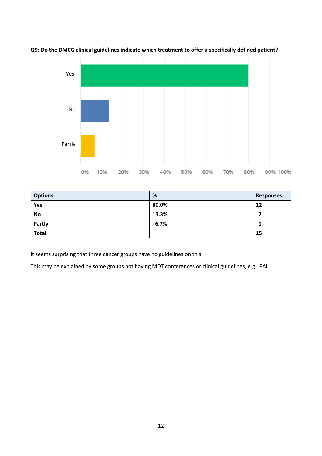

**Q9: Do the DMCG clinical guidelines indicate which treatment to offer a specifically defined patient?**

| <b>Options</b> | %     | Responses |
|----------------|-------|-----------|
| Yes            | 80.0% | 12        |
| <b>No</b>      | 13.3% |           |
| Partly         | 6.7%  |           |
| <b>Total</b>   |       | 15        |

It seems surprising that three cancer groups have no guidelines on this.

This may be explained by some groups not having MDT conferences or clinical guidelines, e.g., PAL.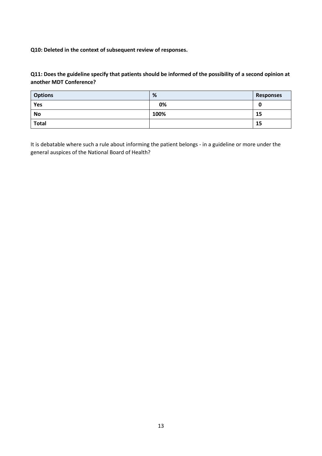**Q10: Deleted in the context of subsequent review of responses.**

#### **Q11: Does the guideline specify that patients should be informed of the possibility of a second opinion at another MDT Conference?**

| <b>Options</b> | %    | <b>Responses</b> |
|----------------|------|------------------|
| Yes            | 0%   | U                |
| <b>No</b>      | 100% | 15               |
| <b>Total</b>   |      | 15               |

It is debatable where such a rule about informing the patient belongs - in a guideline or more under the general auspices of the National Board of Health?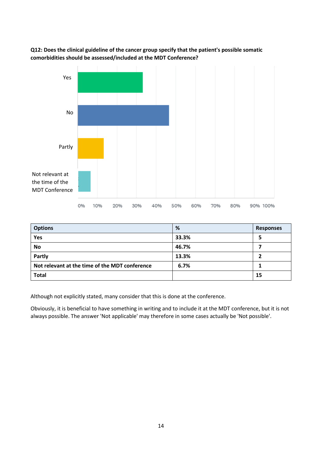



| <b>Options</b>                                 | %     | <b>Responses</b> |
|------------------------------------------------|-------|------------------|
| Yes                                            | 33.3% | 5                |
| <b>No</b>                                      | 46.7% |                  |
| Partly                                         | 13.3% | 7                |
| Not relevant at the time of the MDT conference | 6.7%  |                  |
| <b>Total</b>                                   |       | 15               |

Although not explicitly stated, many consider that this is done at the conference.

Obviously, it is beneficial to have something in writing and to include it at the MDT conference, but it is not always possible. The answer 'Not applicable' may therefore in some cases actually be 'Not possible'.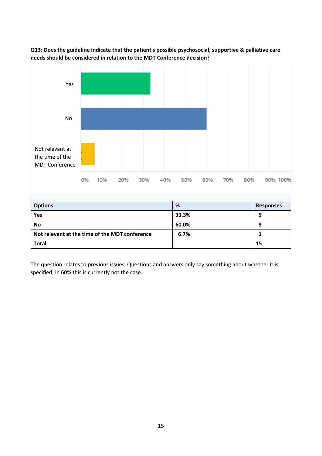

**Q13: Does the guideline indicate that the patient's possible psychosocial, supportive & palliative care needs should be considered in relation to the MDT Conference decision?**

| <b>Options</b>                                 | %     | <b>Responses</b> |
|------------------------------------------------|-------|------------------|
| Yes                                            | 33.3% |                  |
| <b>No</b>                                      | 60.0% | 9                |
| Not relevant at the time of the MDT conference | 6.7%  |                  |
| <b>Total</b>                                   |       | 15               |

The question relates to previous issues. Questions and answers only say something about whether it is specified; in 60% this is currently not the case.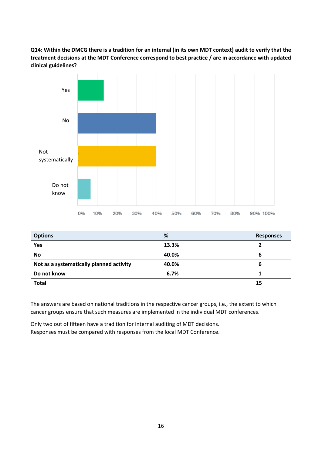**Q14: Within the DMCG there is a tradition for an internal (in its own MDT context) audit to verify that the treatment decisions at the MDT Conference correspond to best practice / are in accordance with updated clinical guidelines?**



| <b>Options</b>                           | %     | <b>Responses</b> |
|------------------------------------------|-------|------------------|
| Yes                                      | 13.3% |                  |
| No                                       | 40.0% | 6                |
| Not as a systematically planned activity | 40.0% | 6                |
| Do not know                              | 6.7%  |                  |
| <b>Total</b>                             |       | 15               |

The answers are based on national traditions in the respective cancer groups, i.e., the extent to which cancer groups ensure that such measures are implemented in the individual MDT conferences.

Only two out of fifteen have a tradition for internal auditing of MDT decisions. Responses must be compared with responses from the local MDT Conference.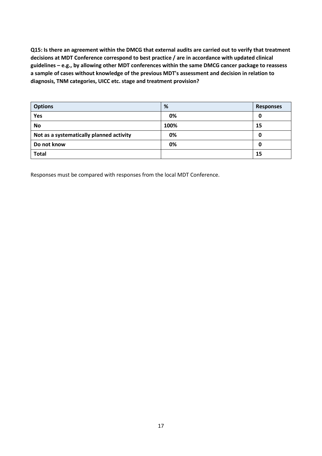**Q15: Is there an agreement within the DMCG that external audits are carried out to verify that treatment decisions at MDT Conference correspond to best practice / are in accordance with updated clinical guidelines – e.g., by allowing other MDT conferences within the same DMCG cancer package to reassess a sample of cases without knowledge of the previous MDT's assessment and decision in relation to diagnosis, TNM categories, UICC etc. stage and treatment provision?**

| <b>Options</b>                           | %    | <b>Responses</b> |
|------------------------------------------|------|------------------|
| Yes                                      | 0%   | 0                |
| <b>No</b>                                | 100% | 15               |
| Not as a systematically planned activity | 0%   | 0                |
| Do not know                              | 0%   | 0                |
| <b>Total</b>                             |      | 15               |

Responses must be compared with responses from the local MDT Conference.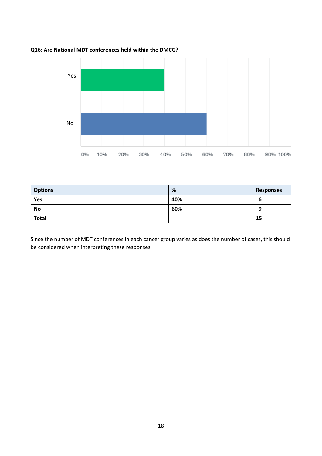

#### **Q16: Are National MDT conferences held within the DMCG?**

| <b>Options</b> | %   | <b>Responses</b> |
|----------------|-----|------------------|
| Yes            | 40% | ь                |
| <b>No</b>      | 60% | a                |
| <b>Total</b>   |     | 15               |

Since the number of MDT conferences in each cancer group varies as does the number of cases, this should be considered when interpreting these responses.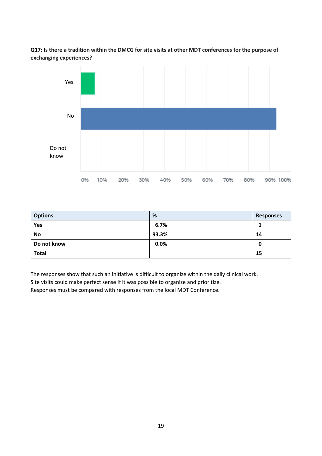**Q17: Is there a tradition within the DMCG for site visits at other MDT conferences for the purpose of exchanging experiences?**



| <b>Options</b> | %     | <b>Responses</b> |
|----------------|-------|------------------|
| Yes            | 6.7%  |                  |
| No             | 93.3% | 14               |
| Do not know    | 0.0%  | 0                |
| <b>Total</b>   |       | 15               |

The responses show that such an initiative is difficult to organize within the daily clinical work.

Site visits could make perfect sense if it was possible to organize and prioritize.

Responses must be compared with responses from the local MDT Conference.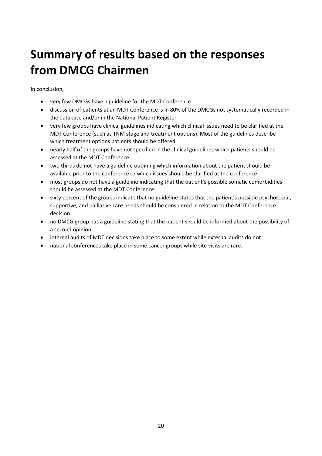### <span id="page-19-0"></span>**Summary of results based on the responses from DMCG Chairmen**

In conclusion,

- very few DMCGs have a guideline for the MDT Conference
- discussion of patients at an MDT Conference is in 80% of the DMCGs not systematically recorded in the database and/or in the National Patient Register
- very few groups have clinical guidelines indicating which clinical issues need to be clarified at the MDT Conference (such as TNM stage and treatment options). Most of the guidelines describe which treatment options patients should be offered
- nearly half of the groups have not specified in the clinical guidelines which patients should be assessed at the MDT Conference
- two thirds do not have a guideline outlining which information about the patient should be available prior to the conference or which issues should be clarified at the conference
- most groups do not have a guideline indicating that the patient's possible somatic comorbidities should be assessed at the MDT Conference
- sixty percent of the groups indicate that no guideline states that the patient's possible psychosocial, supportive, and palliative care needs should be considered in relation to the MDT Conference decision
- no DMCG group has a guideline stating that the patient should be informed about the possibility of a second opinion
- internal audits of MDT decisions take place to some extent while external audits do not
- national conferences take place in some cancer groups while site visits are rare.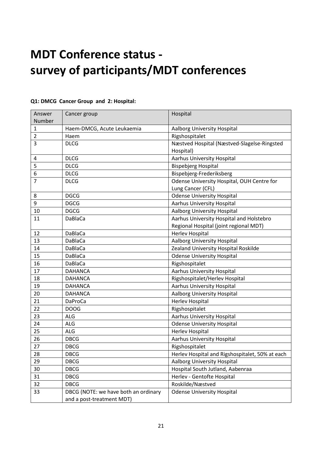### <span id="page-20-0"></span>**MDT Conference status survey of participants/MDT conferences**

| Answer         | Cancer group                         | Hospital                                        |
|----------------|--------------------------------------|-------------------------------------------------|
| Number         |                                      |                                                 |
| $\mathbf{1}$   | Haem-DMCG, Acute Leukaemia           | <b>Aalborg University Hospital</b>              |
| $\overline{2}$ | Haem                                 | Rigshospitalet                                  |
| 3              | <b>DLCG</b>                          | Næstved Hospital (Næstved-Slagelse-Ringsted     |
|                |                                      | Hospital)                                       |
| 4              | <b>DLCG</b>                          | <b>Aarhus University Hospital</b>               |
| 5              | <b>DLCG</b>                          | <b>Bispebjerg Hospital</b>                      |
| 6              | <b>DLCG</b>                          | Bispebjerg-Frederiksberg                        |
| $\overline{7}$ | <b>DLCG</b>                          | Odense University Hospital, OUH Centre for      |
|                |                                      | Lung Cancer (CFL)                               |
| 8              | <b>DGCG</b>                          | <b>Odense University Hospital</b>               |
| 9              | <b>DGCG</b>                          | <b>Aarhus University Hospital</b>               |
| 10             | <b>DGCG</b>                          | <b>Aalborg University Hospital</b>              |
| 11             | DaBlaCa                              | Aarhus University Hospital and Holstebro        |
|                |                                      | Regional Hospital (joint regional MDT)          |
| 12             | <b>DaBlaCa</b>                       | <b>Herlev Hospital</b>                          |
| 13             | DaBlaCa                              | Aalborg University Hospital                     |
| 14             | <b>DaBlaCa</b>                       | Zealand University Hospital Roskilde            |
| 15             | DaBlaCa                              | <b>Odense University Hospital</b>               |
| 16             | DaBlaCa                              | Rigshospitalet                                  |
| 17             | <b>DAHANCA</b>                       | <b>Aarhus University Hospital</b>               |
| 18             | <b>DAHANCA</b>                       | Rigshospitalet/Herlev Hospital                  |
| 19             | <b>DAHANCA</b>                       | <b>Aarhus University Hospital</b>               |
| 20             | <b>DAHANCA</b>                       | Aalborg University Hospital                     |
| 21             | <b>DaProCa</b>                       | <b>Herlev Hospital</b>                          |
| 22             | <b>DOOG</b>                          | Rigshospitalet                                  |
| 23             | <b>ALG</b>                           | <b>Aarhus University Hospital</b>               |
| 24             | <b>ALG</b>                           | <b>Odense University Hospital</b>               |
| 25             | ALG                                  | Herlev Hospital                                 |
| 26             | <b>DBCG</b>                          | <b>Aarhus University Hospital</b>               |
| 27             | <b>DBCG</b>                          | Rigshospitalet                                  |
| 28             | <b>DBCG</b>                          | Herlev Hospital and Rigshospitalet, 50% at each |
| 29             | <b>DBCG</b>                          | Aalborg University Hospital                     |
| 30             | <b>DBCG</b>                          | Hospital South Jutland, Aabenraa                |
| 31             | <b>DBCG</b>                          | Herlev - Gentofte Hospital                      |
| 32             | <b>DBCG</b>                          | Roskilde/Næstved                                |
| 33             | DBCG (NOTE: we have both an ordinary | <b>Odense University Hospital</b>               |
|                | and a post-treatment MDT)            |                                                 |

#### **Q1: DMCG Cancer Group and 2: Hospital:**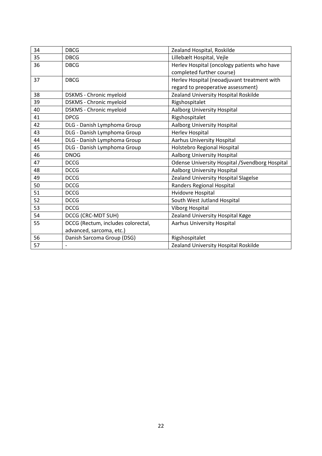| 34 | <b>DBCG</b>                        | Zealand Hospital, Roskilde                             |
|----|------------------------------------|--------------------------------------------------------|
| 35 | <b>DBCG</b>                        | Lillebælt Hospital, Vejle                              |
| 36 | <b>DBCG</b>                        | Herlev Hospital (oncology patients who have            |
|    |                                    | completed further course)                              |
| 37 | <b>DBCG</b>                        | Herlev Hospital (neoadjuvant treatment with            |
|    |                                    | regard to preoperative assessment)                     |
| 38 | DSKMS - Chronic myeloid            | Zealand University Hospital Roskilde                   |
| 39 | <b>DSKMS - Chronic myeloid</b>     | Rigshospitalet                                         |
| 40 | DSKMS - Chronic myeloid            | <b>Aalborg University Hospital</b>                     |
| 41 | <b>DPCG</b>                        | Rigshospitalet                                         |
| 42 | DLG - Danish Lymphoma Group        | Aalborg University Hospital                            |
| 43 | DLG - Danish Lymphoma Group        | Herlev Hospital                                        |
| 44 | DLG - Danish Lymphoma Group        | <b>Aarhus University Hospital</b>                      |
| 45 | DLG - Danish Lymphoma Group        | Holstebro Regional Hospital                            |
| 46 | <b>DNOG</b>                        | Aalborg University Hospital                            |
| 47 | <b>DCCG</b>                        | <b>Odense University Hospital / Svendborg Hospital</b> |
| 48 | <b>DCCG</b>                        | Aalborg University Hospital                            |
| 49 | <b>DCCG</b>                        | Zealand University Hospital Slagelse                   |
| 50 | <b>DCCG</b>                        | Randers Regional Hospital                              |
| 51 | <b>DCCG</b>                        | Hvidovre Hospital                                      |
| 52 | <b>DCCG</b>                        | South West Jutland Hospital                            |
| 53 | <b>DCCG</b>                        | <b>Viborg Hospital</b>                                 |
| 54 | DCCG (CRC-MDT SUH)                 | Zealand University Hospital Køge                       |
| 55 | DCCG (Rectum, includes colorectal, | <b>Aarhus University Hospital</b>                      |
|    | advanced, sarcoma, etc.)           |                                                        |
| 56 | Danish Sarcoma Group (DSG)         | Rigshospitalet                                         |
| 57 |                                    | Zealand University Hospital Roskilde                   |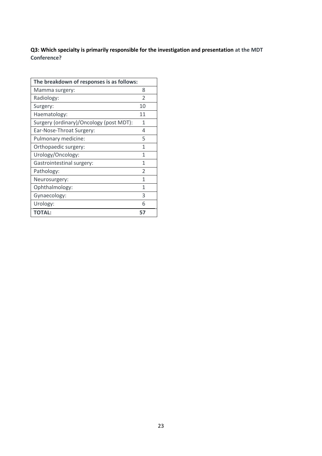**Q3: Which specialty is primarily responsible for the investigation and presentation at the MDT Conference?**

| The breakdown of responses is as follows: |                          |
|-------------------------------------------|--------------------------|
| Mamma surgery:                            | 8                        |
| Radiology:                                | $\overline{\phantom{a}}$ |
| Surgery:                                  | 10                       |
| Haematology:                              | 11                       |
| Surgery (ordinary)/Oncology (post MDT):   | 1                        |
| Ear-Nose-Throat Surgery:                  | 4                        |
| Pulmonary medicine:                       | 5                        |
| Orthopaedic surgery:                      | 1                        |
| Urology/Oncology:                         | 1                        |
| Gastrointestinal surgery:                 | 1                        |
| Pathology:                                | $\overline{\phantom{a}}$ |
| Neurosurgery:                             | 1                        |
| Ophthalmology:                            | 1                        |
| Gynaecology:                              | 3                        |
| Urology:                                  | 6                        |
| <b>TOTAL:</b>                             | 57                       |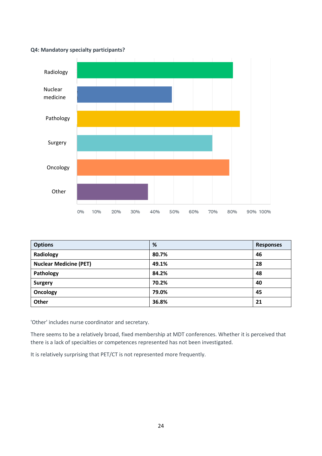#### **Q4: Mandatory specialty participants?**



| <b>Options</b>                | %     | <b>Responses</b> |
|-------------------------------|-------|------------------|
| Radiology                     | 80.7% | 46               |
| <b>Nuclear Medicine (PET)</b> | 49.1% | 28               |
| Pathology                     | 84.2% | 48               |
| <b>Surgery</b>                | 70.2% | 40               |
| Oncology                      | 79.0% | 45               |
| Other                         | 36.8% | 21               |

'Other' includes nurse coordinator and secretary.

There seems to be a relatively broad, fixed membership at MDT conferences. Whether it is perceived that there is a lack of specialties or competences represented has not been investigated.

It is relatively surprising that PET/CT is not represented more frequently.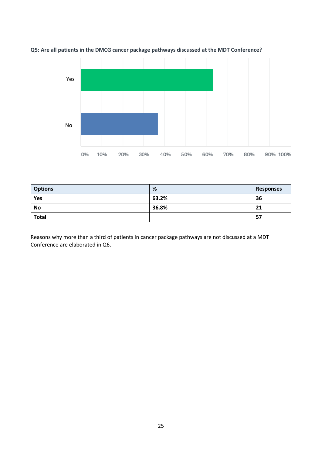



| <b>Options</b> | %     | <b>Responses</b> |
|----------------|-------|------------------|
| Yes            | 63.2% | 36               |
| <b>No</b>      | 36.8% | 21               |
| <b>Total</b>   |       | -57              |

Reasons why more than a third of patients in cancer package pathways are not discussed at a MDT Conference are elaborated in Q6.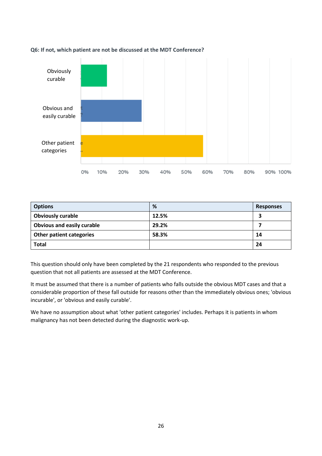

#### **Q6: If not, which patient are not be discussed at the MDT Conference?**

| <b>Options</b>                    | %     | <b>Responses</b> |
|-----------------------------------|-------|------------------|
| <b>Obviously curable</b>          | 12.5% |                  |
| <b>Obvious and easily curable</b> | 29.2% |                  |
| <b>Other patient categories</b>   | 58.3% | 14               |
| <b>Total</b>                      |       | 24               |

This question should only have been completed by the 21 respondents who responded to the previous question that not all patients are assessed at the MDT Conference.

It must be assumed that there is a number of patients who falls outside the obvious MDT cases and that a considerable proportion of these fall outside for reasons other than the immediately obvious ones; 'obvious incurable', or 'obvious and easily curable'.

We have no assumption about what 'other patient categories' includes. Perhaps it is patients in whom malignancy has not been detected during the diagnostic work-up.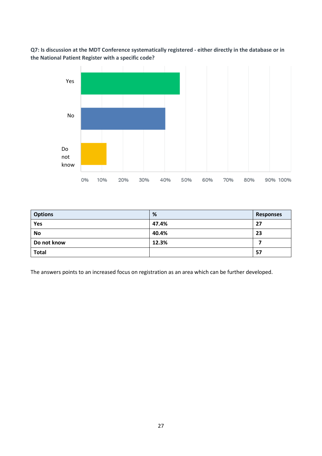**Q7: Is discussion at the MDT Conference systematically registered - either directly in the database or in the National Patient Register with a specific code?**



| <b>Options</b> | %     | <b>Responses</b> |
|----------------|-------|------------------|
| Yes            | 47.4% | 27               |
| <b>No</b>      | 40.4% | 23               |
| Do not know    | 12.3% |                  |
| <b>Total</b>   |       | 57               |

The answers points to an increased focus on registration as an area which can be further developed.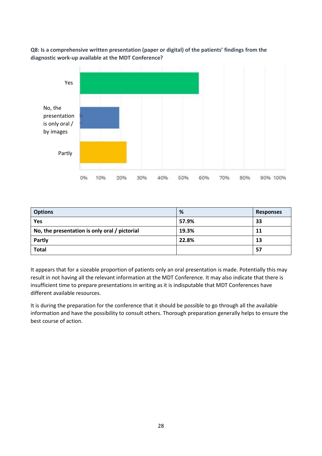**Q8: Is a comprehensive written presentation (paper or digital) of the patients' findings from the diagnostic work-up available at the MDT Conference?** 



| <b>Options</b>                                | %     | <b>Responses</b> |
|-----------------------------------------------|-------|------------------|
| Yes                                           | 57.9% | 33               |
| No, the presentation is only oral / pictorial | 19.3% | 11               |
| Partly                                        | 22.8% | 13               |
| <b>Total</b>                                  |       | -57              |

It appears that for a sizeable proportion of patients only an oral presentation is made. Potentially this may result in not having all the relevant information at the MDT Conference. It may also indicate that there is insufficient time to prepare presentations in writing as it is indisputable that MDT Conferences have different available resources.

It is during the preparation for the conference that it should be possible to go through all the available information and have the possibility to consult others. Thorough preparation generally helps to ensure the best course of action.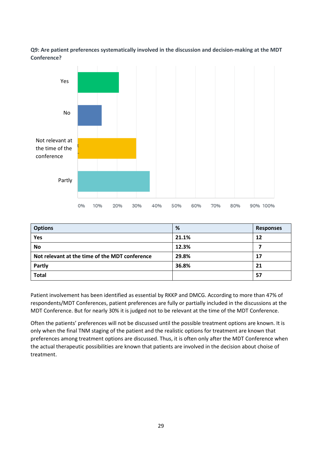**Q9: Are patient preferences systematically involved in the discussion and decision-making at the MDT Conference?**



| <b>Options</b>                                 | %     | <b>Responses</b> |
|------------------------------------------------|-------|------------------|
| Yes                                            | 21.1% | 12               |
| <b>No</b>                                      | 12.3% |                  |
| Not relevant at the time of the MDT conference | 29.8% | 17               |
| Partly                                         | 36.8% | 21               |
| <b>Total</b>                                   |       | 57               |

Patient involvement has been identified as essential by RKKP and DMCG. According to more than 47% of respondents/MDT Conferences, patient preferences are fully or partially included in the discussions at the MDT Conference. But for nearly 30% it is judged not to be relevant at the time of the MDT Conference.

Often the patients' preferences will not be discussed until the possible treatment options are known. It is only when the final TNM staging of the patient and the realistic options for treatment are known that preferences among treatment options are discussed. Thus, it is often only after the MDT Conference when the actual therapeutic possibilities are known that patients are involved in the decision about choise of treatment.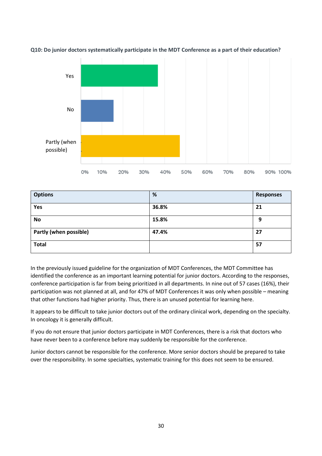

**Q10: Do junior doctors systematically participate in the MDT Conference as a part of their education?**

| <b>Options</b>                | %     | <b>Responses</b> |
|-------------------------------|-------|------------------|
| Yes                           | 36.8% | 21               |
| No                            | 15.8% | 9                |
| <b>Partly (when possible)</b> | 47.4% | 27               |
| <b>Total</b>                  |       | 57               |

In the previously issued guideline [for the organization of MDT Conferences,](https://www.dmcg.dk/siteassets/dmcg-udvalg/multidisciplinaer_kraeftbehandling_-_en_vejledning_til_mdt-rev-15-02-2016.pdf) the MDT Committee has identified the conference as an important learning potential for junior doctors. According to the responses, conference participation is far from being prioritized in all departments. In nine out of 57 cases (16%), their participation was not planned at all, and for 47% of MDT Conferences it was only when possible – meaning that other functions had higher priority. Thus, there is an unused potential for learning here.

It appears to be difficult to take junior doctors out of the ordinary clinical work, depending on the specialty. In oncology it is generally difficult.

If you do not ensure that junior doctors participate in MDT Conferences, there is a risk that doctors who have never been to a conference before may suddenly be responsible for the conference.

Junior doctors cannot be responsible for the conference. More senior doctors should be prepared to take over the responsibility. In some specialties, systematic training for this does not seem to be ensured.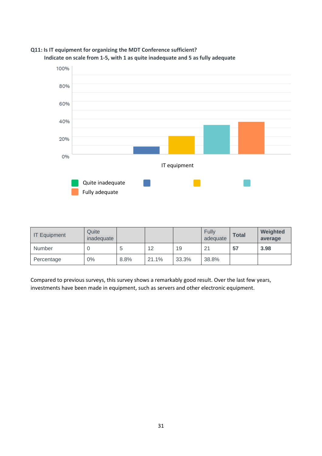

#### **Q11: Is IT equipment for organizing the MDT Conference sufficient? Indicate on scale from 1-5, with 1 as quite inadequate and 5 as fully adequate**

| <b>IT Equipment</b> | Quite<br>inadequate |      |       |       | <b>Fully</b><br>adequate | <b>Total</b> | Weighted<br>average |
|---------------------|---------------------|------|-------|-------|--------------------------|--------------|---------------------|
| <b>Number</b>       | U                   |      | 12    | 19    | 21                       | 57           | 3.98                |
| Percentage          | $0\%$               | 8.8% | 21.1% | 33.3% | 38.8%                    |              |                     |

Compared to previous surveys, this survey shows a remarkably good result. Over the last few years, investments have been made in equipment, such as servers and other electronic equipment.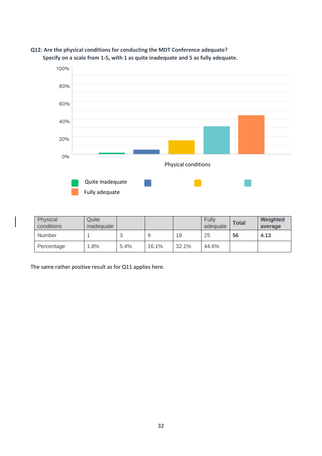

#### **Q12: Are the physical conditions for conducting the MDT Conference adequate? Specify on a scale from 1-5, with 1 as quite inadequate and 5 as fully adequate.**

| Physical<br>conditions | Quite<br>inadequate |      |       |       | Fully<br>adequate | <b>Total</b> | Weighted<br>average |
|------------------------|---------------------|------|-------|-------|-------------------|--------------|---------------------|
| <b>Number</b>          |                     |      |       | 18    | 25                | 56           | 4.13                |
| Percentage             | 1.8%                | 5.4% | 16.1% | 32.1% | 44.6%             |              |                     |

The same rather positive result as for Q11 applies here.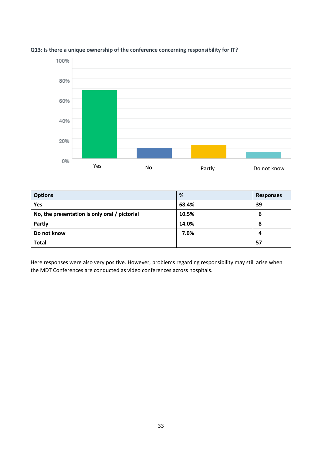

#### **Q13: Is there a unique ownership of the conference concerning responsibility for IT?**

| <b>Options</b>                                | %     | <b>Responses</b> |
|-----------------------------------------------|-------|------------------|
| Yes                                           | 68.4% | 39               |
| No, the presentation is only oral / pictorial | 10.5% | 6                |
| Partly                                        | 14.0% | 8                |
| Do not know                                   | 7.0%  | 4                |
| <b>Total</b>                                  |       | 57               |

Here responses were also very positive. However, problems regarding responsibility may still arise when the MDT Conferences are conducted as video conferences across hospitals.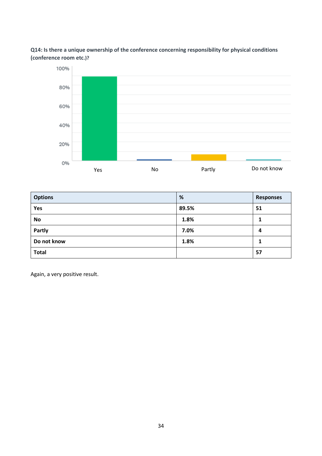#### **Q14: Is there a unique ownership of the conference concerning responsibility for physical conditions (conference room etc.)?**



| <b>Options</b> | %     | <b>Responses</b> |
|----------------|-------|------------------|
| Yes            | 89.5% | 51               |
| <b>No</b>      | 1.8%  |                  |
| Partly         | 7.0%  | 4                |
| Do not know    | 1.8%  |                  |
| <b>Total</b>   |       | 57               |

Again, a very positive result.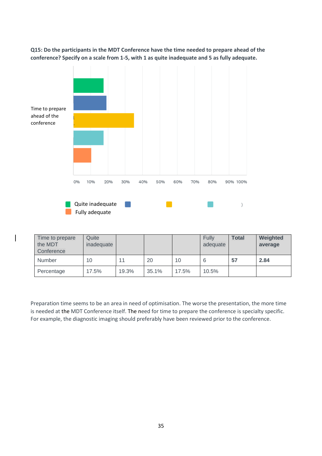**Q15: Do the participants in the MDT Conference have the time needed to prepare ahead of the conference? Specify on a scale from 1-5, with 1 as quite inadequate and 5 as fully adequate.**



| Time to prepare<br>the MDT | Quite<br>inadequate |       |       |       | Fully<br>adequate | <b>Total</b> | Weighted<br>average |
|----------------------------|---------------------|-------|-------|-------|-------------------|--------------|---------------------|
| Conference                 |                     |       |       |       |                   |              |                     |
| <b>Number</b>              | 10                  | 11    | 20    | 10    |                   | 57           | 2.84                |
| Percentage                 | 17.5%               | 19.3% | 35.1% | 17.5% | 10.5%             |              |                     |

Preparation time seems to be an area in need of optimisation. The worse the presentation, the more time is needed at the MDT Conference itself. The need for time to prepare the conference is specialty specific. For example, the diagnostic imaging should preferably have been reviewed prior to the conference.

35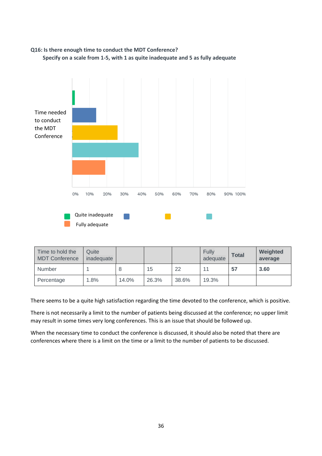

## **Q16: Is there enough time to conduct the MDT Conference?**

| Time to hold the<br><b>MDT Conference</b> | Quite<br>inadequate |       |       |       | <b>Fully</b><br>adequate | <b>Total</b> | Weighted<br>average |
|-------------------------------------------|---------------------|-------|-------|-------|--------------------------|--------------|---------------------|
| <b>Number</b>                             |                     |       | 15    | 22    | 11                       | 57           | 3.60                |
| Percentage                                | .8%                 | 14.0% | 26.3% | 38.6% | 19.3%                    |              |                     |

There seems to be a quite high satisfaction regarding the time devoted to the conference, which is positive.

There is not necessarily a limit to the number of patients being discussed at the conference; no upper limit may result in some times very long conferences. This is an issue that should be followed up.

When the necessary time to conduct the conference is discussed, it should also be noted that there are conferences where there is a limit on the time or a limit to the number of patients to be discussed.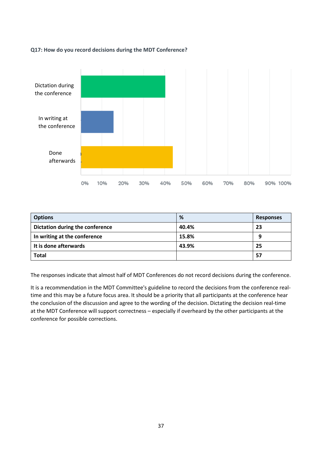**Q17: How do you record decisions during the MDT Conference?**



| <b>Options</b>                  | %     | <b>Responses</b> |
|---------------------------------|-------|------------------|
| Dictation during the conference | 40.4% | 23               |
| In writing at the conference    | 15.8% | 9                |
| It is done afterwards           | 43.9% | 25               |
| <b>Total</b>                    |       | 57               |

The responses indicate that almost half of MDT Conferences do not record decisions during the conference.

It is a recommendation in the MDT Committee's guideline to record the decisions from the conference realtime and this may be a future focus area. It should be a priority that all participants at the conference hear the conclusion of the discussion and agree to the wording of the decision. Dictating the decision real-time at the MDT Conference will support correctness – especially if overheard by the other participants at the conference for possible corrections.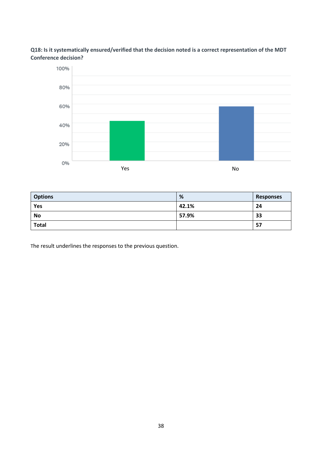#### **Q18: Is it systematically ensured/verified that the decision noted is a correct representation of the MDT Conference decision?**



| <b>Options</b> | %     | <b>Responses</b> |
|----------------|-------|------------------|
| Yes            | 42.1% | 24               |
| <b>No</b>      | 57.9% | 33               |
| <b>Total</b>   |       | 57               |

The result underlines the responses to the previous question.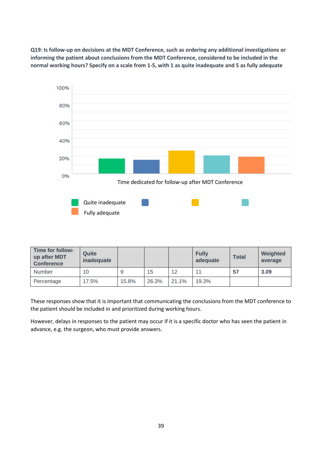**Q19: Is follow-up on decisions at the MDT Conference, such as ordering any additional investigations or informing the patient about conclusions from the MDT Conference, considered to be included in the normal working hours? Specify on a scale from 1-5, with 1 as quite inadequate and 5 as fully adequate**



| Time for follow-<br>up after MDT<br><b>Conference</b> | Quite<br>inadequate |       |       |                   | <b>Fully</b><br>adequate | <b>Total</b> | Weighted<br>average |
|-------------------------------------------------------|---------------------|-------|-------|-------------------|--------------------------|--------------|---------------------|
| Number                                                | 10                  | 9     | 15    | $12 \overline{ }$ | 11                       | 57           | 3.09                |
| Percentage                                            | 17.5%               | 15.8% | 26.3% | 21.1%             | 19.3%                    |              |                     |

These responses show that it is important that communicating the conclusions from the MDT conference to the patient should be included in and prioritized during working hours.

However, delays in responses to the patient may occur if it is a specific doctor who has seen the patient in advance, e.g. the surgeon, who must provide answers.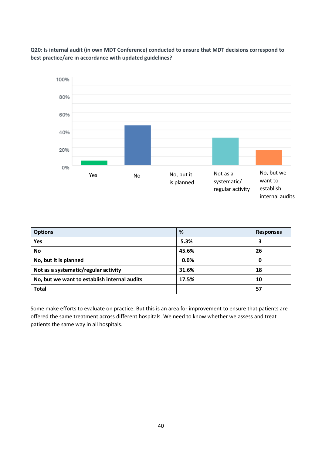

**Q20: Is internal audit (in own MDT Conference) conducted to ensure that MDT decisions correspond to best practice/are in accordance with updated guidelines?**

| <b>Options</b>                               | %     | <b>Responses</b> |
|----------------------------------------------|-------|------------------|
| Yes                                          | 5.3%  | 3                |
| No                                           | 45.6% | 26               |
| No, but it is planned                        | 0.0%  | 0                |
| Not as a systematic/regular activity         | 31.6% | 18               |
| No, but we want to establish internal audits | 17.5% | 10               |
| <b>Total</b>                                 |       | 57               |

Some make efforts to evaluate on practice. But this is an area for improvement to ensure that patients are offered the same treatment across different hospitals. We need to know whether we assess and treat patients the same way in all hospitals.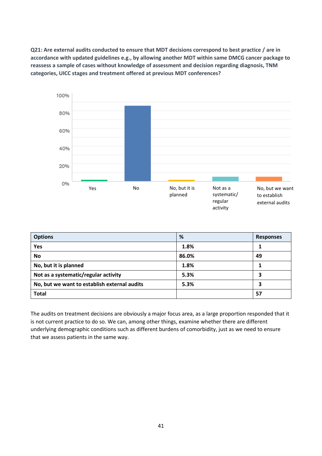**Q21: Are external audits conducted to ensure that MDT decisions correspond to best practice / are in accordance with updated guidelines e.g., by allowing another MDT within same DMCG cancer package to reassess a sample of cases without knowledge of assessment and decision regarding diagnosis, TNM categories, UICC stages and treatment offered at previous MDT conferences?**



| <b>Options</b>                               | %     | <b>Responses</b> |
|----------------------------------------------|-------|------------------|
| Yes                                          | 1.8%  |                  |
| <b>No</b>                                    | 86.0% | 49               |
| No, but it is planned                        | 1.8%  |                  |
| Not as a systematic/regular activity         | 5.3%  |                  |
| No, but we want to establish external audits | 5.3%  | 3                |
| <b>Total</b>                                 |       | 57               |

The audits on treatment decisions are obviously a major focus area, as a large proportion responded that it is not current practice to do so. We can, among other things, examine whether there are different underlying demographic conditions such as different burdens of comorbidity, just as we need to ensure that we assess patients in the same way.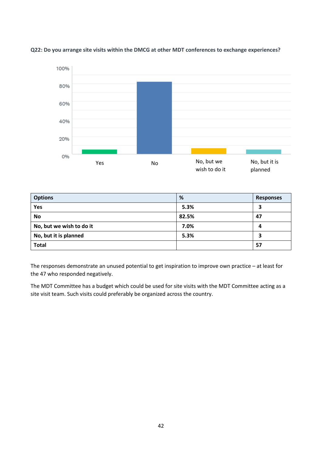

**Q22: Do you arrange site visits within the DMCG at other MDT conferences to exchange experiences?**

| <b>Options</b>           | %     | <b>Responses</b> |
|--------------------------|-------|------------------|
| Yes                      | 5.3%  | 3                |
| <b>No</b>                | 82.5% | 47               |
| No, but we wish to do it | 7.0%  | 4                |
| No, but it is planned    | 5.3%  | 3                |
| <b>Total</b>             |       | 57               |

The responses demonstrate an unused potential to get inspiration to improve own practice – at least for the 47 who responded negatively.

The MDT Committee has a budget which could be used for site visits with the MDT Committee acting as a site visit team. Such visits could preferably be organized across the country.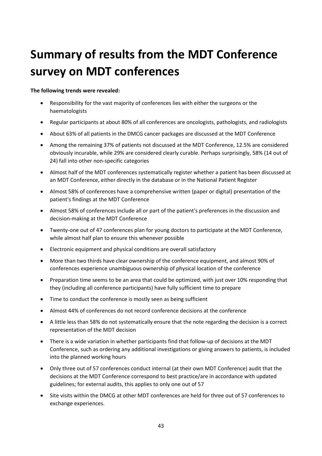## <span id="page-42-0"></span>**Summary of results from the MDT Conference survey on MDT conferences**

#### **The following trends were revealed:**

- Responsibility for the vast majority of conferences lies with either the surgeons or the haematologists
- Regular participants at about 80% of all conferences are oncologists, pathologists, and radiologists
- About 63% of all patients in the DMCG cancer packages are discussed at the MDT Conference
- Among the remaining 37% of patients not discussed at the MDT Conference, 12.5% are considered obviously incurable, while 29% are considered clearly curable. Perhaps surprisingly, 58% (14 out of 24) fall into other non-specific categories
- Almost half of the MDT conferences systematically register whether a patient has been discussed at an MDT Conference, either directly in the database or in the National Patient Register
- Almost 58% of conferences have a comprehensive written (paper or digital) presentation of the patient's findings at the MDT Conference
- Almost 58% of conferences include all or part of the patient's preferences in the discussion and decision-making at the MDT Conference
- Twenty-one out of 47 conferences plan for young doctors to participate at the MDT Conference, while almost half plan to ensure this whenever possible
- Electronic equipment and physical conditions are overall satisfactory
- More than two thirds have clear ownership of the conference equipment, and almost 90% of conferences experience unambiguous ownership of physical location of the conference
- Preparation time seems to be an area that could be optimized, with just over 10% responding that they (including all conference participants) have fully sufficient time to prepare
- Time to conduct the conference is mostly seen as being sufficient
- Almost 44% of conferences do not record conference decisions at the conference
- A little less than 58% do not systematically ensure that the note regarding the decision is a correct representation of the MDT decision
- There is a wide variation in whether participants find that follow-up of decisions at the MDT Conference, such as ordering any additional investigations or giving answers to patients, is included into the planned working hours
- Only three out of 57 conferences conduct internal (at their own MDT Conference) audit that the decisions at the MDT Conference correspond to best practice/are in accordance with updated guidelines; for external audits, this applies to only one out of 57
- Site visits within the DMCG at other MDT conferences are held for three out of 57 conferences to exchange experiences.